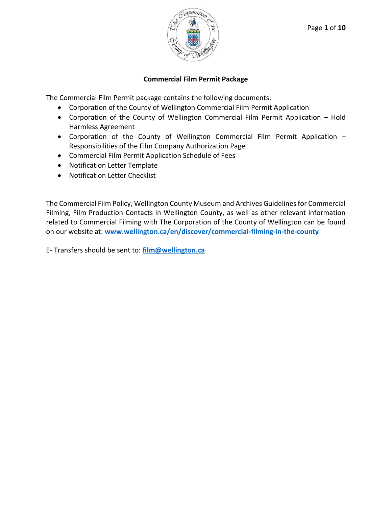

# **Commercial Film Permit Package**

The Commercial Film Permit package contains the following documents:

- Corporation of the County of Wellington Commercial Film Permit Application
- Corporation of the County of Wellington Commercial Film Permit Application Hold Harmless Agreement
- Corporation of the County of Wellington Commercial Film Permit Application Responsibilities of the Film Company Authorization Page
- Commercial Film Permit Application Schedule of Fees
- Notification Letter Template
- Notification Letter Checklist

The Commercial Film Policy, Wellington County Museum and Archives Guidelines for Commercial Filming, Film Production Contacts in Wellington County, as well as other relevant information related to Commercial Filming with The Corporation of the County of Wellington can be found on our website at: **[www.wellington.ca/en/discover/commercial-filming-in-the-county](http://www.wellington.ca/commercialfilminginthecounty)**

E- Transfers should be sent to: **[film@wellington.ca](mailto:film@wellington.ca)**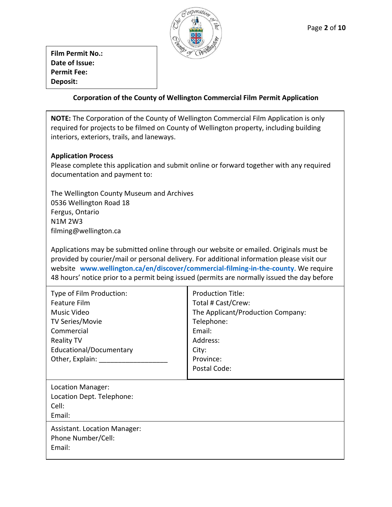

**Film Permit No.: Date of Issue: Permit Fee: Deposit:**

# **Corporation of the County of Wellington Commercial Film Permit Application**

**NOTE:** The Corporation of the County of Wellington Commercial Film Application is only required for projects to be filmed on County of Wellington property, including building interiors, exteriors, trails, and laneways.

### **Application Process**

Please complete this application and submit online or forward together with any required documentation and payment to:

The Wellington County Museum and Archives 0536 Wellington Road 18 Fergus, Ontario N1M 2W3 filming@wellington.ca

Applications may be submitted online through our website or emailed. Originals must be provided by courier/mail or personal delivery. For additional information please visit our website **[www.wellington.ca/en/discover/commercial-filming-in-the-county](http://www.wellington.ca/commercialfilminginthecounty)**. We require 48 hours' notice prior to a permit being issued (permits are normally issued the day before

| Type of Film Production: | <b>Production Title:</b>          |
|--------------------------|-----------------------------------|
| Feature Film             | Total # Cast/Crew:                |
| Music Video              | The Applicant/Production Company: |
| TV Series/Movie          | Telephone:                        |
| Commercial               | Email:                            |
| <b>Reality TV</b>        | Address:                          |
| Educational/Documentary  | City:                             |
| Other, Explain:          | Province:                         |
|                          | Postal Code:                      |
|                          |                                   |

| Location Manager:                                                   |
|---------------------------------------------------------------------|
| Location Dept. Telephone:<br>Cell:<br>Email:                        |
| <b>Assistant. Location Manager:</b><br>Phone Number/Cell:<br>Email: |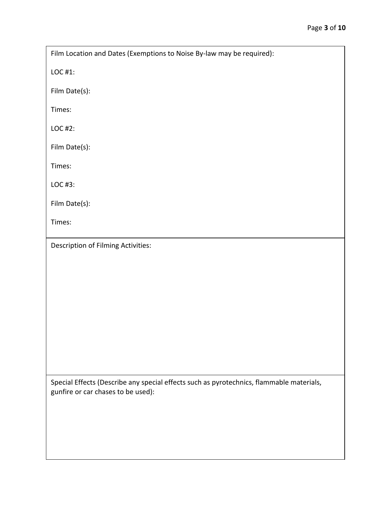LOC #1:

Film Date(s):

Times:

LOC #2:

Film Date(s):

Times:

LOC #3:

Film Date(s):

Times:

Description of Filming Activities:

Special Effects (Describe any special effects such as pyrotechnics, flammable materials, gunfire or car chases to be used):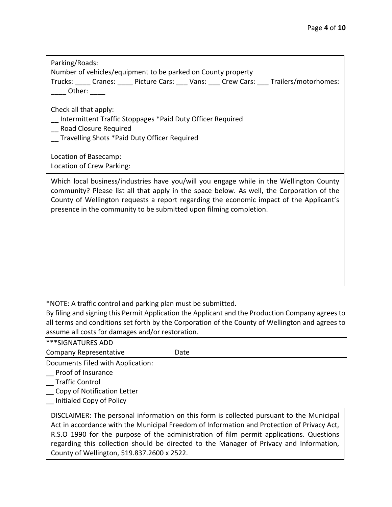| Parking/Roads:<br>Number of vehicles/equipment to be parked on County property<br>Trucks: Cranes: Picture Cars: Vans: Crew Cars: Trailers/motorhomes:<br>Other:                                                                                                                                                                                       |
|-------------------------------------------------------------------------------------------------------------------------------------------------------------------------------------------------------------------------------------------------------------------------------------------------------------------------------------------------------|
| Check all that apply:<br>Intermittent Traffic Stoppages *Paid Duty Officer Required<br>Road Closure Required<br>Travelling Shots *Paid Duty Officer Required<br>Location of Basecamp:                                                                                                                                                                 |
| Location of Crew Parking:                                                                                                                                                                                                                                                                                                                             |
| Which local business/industries have you/will you engage while in the Wellington County<br>community? Please list all that apply in the space below. As well, the Corporation of the<br>County of Wellington requests a report regarding the economic impact of the Applicant's<br>presence in the community to be submitted upon filming completion. |
|                                                                                                                                                                                                                                                                                                                                                       |
|                                                                                                                                                                                                                                                                                                                                                       |
|                                                                                                                                                                                                                                                                                                                                                       |

\*NOTE: A traffic control and parking plan must be submitted.

By filing and signing this Permit Application the Applicant and the Production Company agrees to all terms and conditions set forth by the Corporation of the County of Wellington and agrees to assume all costs for damages and/or restoration.

| ***SIGNATURES ADD                                                                        |                                                                                            |
|------------------------------------------------------------------------------------------|--------------------------------------------------------------------------------------------|
| <b>Company Representative</b>                                                            | Date                                                                                       |
| Documents Filed with Application:                                                        |                                                                                            |
| Proof of Insurance                                                                       |                                                                                            |
| Traffic Control                                                                          |                                                                                            |
| Copy of Notification Letter                                                              |                                                                                            |
| Initialed Copy of Policy                                                                 |                                                                                            |
| DISCLAIMER: The personal information on this form is collected pursuant to the Municipal |                                                                                            |
|                                                                                          | Act in accordance with the Municipal Freedom of Information and Protection of Privacy Act, |
|                                                                                          | RSO 1990 for the nurnose of the administration of film nermit annications. Questions       |

R.S.O 1990 for the purpose of the administration of film permit applications. Questions regarding this collection should be directed to the Manager of Privacy and Information, County of Wellington, 519.837.2600 x 2522.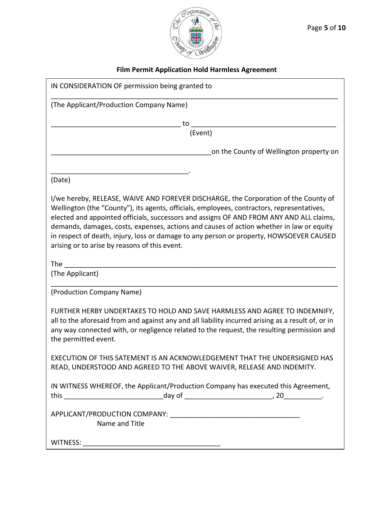

# **Film Permit Application Hold Harmless Agreement**

| IN CONSIDERATION OF permission being granted to                                                                                                                                                                                                                                                                                                                                                                                                                                                                      |  |  |
|----------------------------------------------------------------------------------------------------------------------------------------------------------------------------------------------------------------------------------------------------------------------------------------------------------------------------------------------------------------------------------------------------------------------------------------------------------------------------------------------------------------------|--|--|
| (The Applicant/Production Company Name)                                                                                                                                                                                                                                                                                                                                                                                                                                                                              |  |  |
| τo                                                                                                                                                                                                                                                                                                                                                                                                                                                                                                                   |  |  |
| (Event)                                                                                                                                                                                                                                                                                                                                                                                                                                                                                                              |  |  |
| on the County of Wellington property on                                                                                                                                                                                                                                                                                                                                                                                                                                                                              |  |  |
| (Date)                                                                                                                                                                                                                                                                                                                                                                                                                                                                                                               |  |  |
| I/we hereby, RELEASE, WAIVE AND FOREVER DISCHARGE, the Corporation of the County of<br>Wellington (the "County"), its agents, officials, employees, contractors, representatives,<br>elected and appointed officials, successors and assigns OF AND FROM ANY AND ALL claims,<br>demands, damages, costs, expenses, actions and causes of action whether in law or equity<br>in respect of death, injury, loss or damage to any person or property, HOWSOEVER CAUSED<br>arising or to arise by reasons of this event. |  |  |
| The the state of the state of the state of the state of the state of the state of the state of the state of the<br>(The Applicant)                                                                                                                                                                                                                                                                                                                                                                                   |  |  |
| (Production Company Name)                                                                                                                                                                                                                                                                                                                                                                                                                                                                                            |  |  |
| FURTHER HERBY UNDERTAKES TO HOLD AND SAVE HARMLESS AND AGREE TO INDEMNIFY,<br>all to the aforesaid from and against any and all liability incurred arising as a result of, or in<br>any way connected with, or negligence related to the request, the resulting permission and<br>the permitted event.                                                                                                                                                                                                               |  |  |
| EXECUTION OF THIS SATEMENT IS AN ACKNOWLEDGEMENT THAT THE UNDERSIGNED HAS<br>READ, UNDERSTOOD AND AGREED TO THE ABOVE WAIVER, RELEASE AND INDEMITY.                                                                                                                                                                                                                                                                                                                                                                  |  |  |
| IN WITNESS WHEREOF, the Applicant/Production Company has executed this Agreement,                                                                                                                                                                                                                                                                                                                                                                                                                                    |  |  |
| Name and Title                                                                                                                                                                                                                                                                                                                                                                                                                                                                                                       |  |  |
|                                                                                                                                                                                                                                                                                                                                                                                                                                                                                                                      |  |  |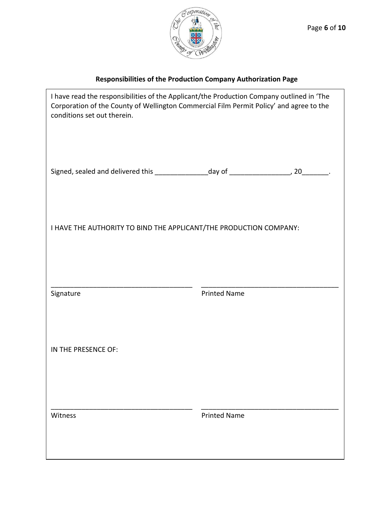

# **Responsibilities of the Production Company Authorization Page**

 $\mathbf{r}$ 

| I have read the responsibilities of the Applicant/the Production Company outlined in 'The<br>Corporation of the County of Wellington Commercial Film Permit Policy' and agree to the<br>conditions set out therein. |                     |  |
|---------------------------------------------------------------------------------------------------------------------------------------------------------------------------------------------------------------------|---------------------|--|
| Signed, sealed and delivered this __________________day of __________________, 20________.                                                                                                                          |                     |  |
| I HAVE THE AUTHORITY TO BIND THE APPLICANT/THE PRODUCTION COMPANY:                                                                                                                                                  |                     |  |
| Signature                                                                                                                                                                                                           | <b>Printed Name</b> |  |
| IN THE PRESENCE OF:                                                                                                                                                                                                 |                     |  |
| Witness                                                                                                                                                                                                             | <b>Printed Name</b> |  |
|                                                                                                                                                                                                                     |                     |  |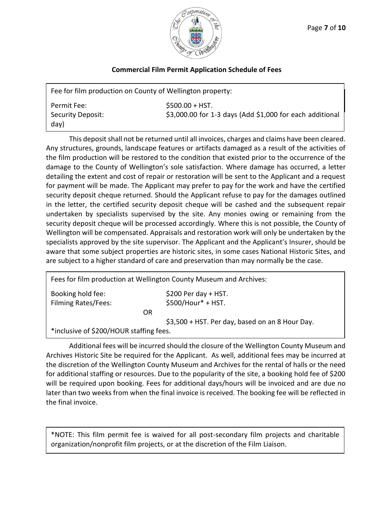

#### **Commercial Film Permit Application Schedule of Fees**

| Fee for film production on County of Wellington property: |                                                                              |  |
|-----------------------------------------------------------|------------------------------------------------------------------------------|--|
| Permit Fee:<br>Security Deposit:<br>day)                  | $$500.00 + HST.$<br>\$3,000.00 for 1-3 days (Add \$1,000 for each additional |  |

This deposit shall not be returned until all invoices, charges and claims have been cleared. Any structures, grounds, landscape features or artifacts damaged as a result of the activities of the film production will be restored to the condition that existed prior to the occurrence of the damage to the County of Wellington's sole satisfaction. Where damage has occurred, a letter detailing the extent and cost of repair or restoration will be sent to the Applicant and a request for payment will be made. The Applicant may prefer to pay for the work and have the certified security deposit cheque returned. Should the Applicant refuse to pay for the damages outlined in the letter, the certified security deposit cheque will be cashed and the subsequent repair undertaken by specialists supervised by the site. Any monies owing or remaining from the security deposit cheque will be processed accordingly. Where this is not possible, the County of Wellington will be compensated. Appraisals and restoration work will only be undertaken by the specialists approved by the site supervisor. The Applicant and the Applicant's Insurer, should be aware that some subject properties are historic sites, in some cases National Historic Sites, and are subject to a higher standard of care and preservation than may normally be the case.

| Fees for film production at Wellington County Museum and Archives: |                                                 |
|--------------------------------------------------------------------|-------------------------------------------------|
| Booking hold fee:                                                  | $$200$ Per day + HST.                           |
| <b>Filming Rates/Fees:</b>                                         | $$500/Hour* + HST.$                             |
| OR                                                                 |                                                 |
|                                                                    | \$3,500 + HST. Per day, based on an 8 Hour Day. |
| *inclusive of \$200/HOUR staffing fees.                            |                                                 |

Additional fees will be incurred should the closure of the Wellington County Museum and Archives Historic Site be required for the Applicant. As well, additional fees may be incurred at the discretion of the Wellington County Museum and Archives for the rental of halls or the need for additional staffing or resources. Due to the popularity of the site, a booking hold fee of \$200 will be required upon booking. Fees for additional days/hours will be invoiced and are due no later than two weeks from when the final invoice is received. The booking fee will be reflected in the final invoice.

\*NOTE: This film permit fee is waived for all post-secondary film projects and charitable organization/nonprofit film projects, or at the discretion of the Film Liaison.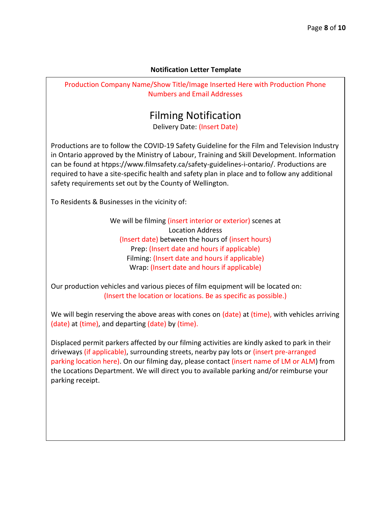#### **Notification Letter Template**

Production Company Name/Show Title/Image Inserted Here with Production Phone Numbers and Email Addresses

# Filming Notification

Delivery Date: (Insert Date)

Productions are to follow the COVID-19 Safety Guideline for the Film and Television Industry in Ontario approved by the Ministry of Labour, Training and Skill Development. Information can be found at htpps://www.filmsafety.ca/safety-guidelines-i-ontario/. Productions are required to have a site-specific health and safety plan in place and to follow any additional safety requirements set out by the County of Wellington.

To Residents & Businesses in the vicinity of:

We will be filming (insert interior or exterior) scenes at Location Address (Insert date) between the hours of (insert hours) Prep: (Insert date and hours if applicable) Filming: (Insert date and hours if applicable) Wrap: (Insert date and hours if applicable)

Our production vehicles and various pieces of film equipment will be located on: (Insert the location or locations. Be as specific as possible.)

We will begin reserving the above areas with cones on (date) at (time), with vehicles arriving (date) at (time), and departing (date) by (time).

Displaced permit parkers affected by our filming activities are kindly asked to park in their driveways (if applicable), surrounding streets, nearby pay lots or (insert pre-arranged parking location here). On our filming day, please contact (insert name of LM or ALM) from the Locations Department. We will direct you to available parking and/or reimburse your parking receipt.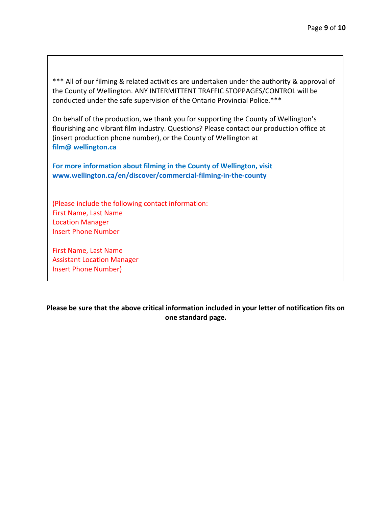\*\*\* All of our filming & related activities are undertaken under the authority & approval of the County of Wellington. ANY INTERMITTENT TRAFFIC STOPPAGES/CONTROL will be conducted under the safe supervision of the Ontario Provincial Police.\*\*\*

On behalf of the production, we thank you for supporting the County of Wellington's flourishing and vibrant film industry. Questions? Please contact our production office at (insert production phone number), or the County of Wellington at **film@ [wellington.ca](mailto:filmwellington@wellington.ca)**

**For more information about filming in the County of Wellington, visit [www.wellington.ca/en/discover/commercial-filming-in-the-county](http://www.wellington.ca/commercialfilminginthecounty)**

(Please include the following contact information: First Name, Last Name Location Manager Insert Phone Number

First Name, Last Name Assistant Location Manager Insert Phone Number)

**Please be sure that the above critical information included in your letter of notification fits on one standard page.**